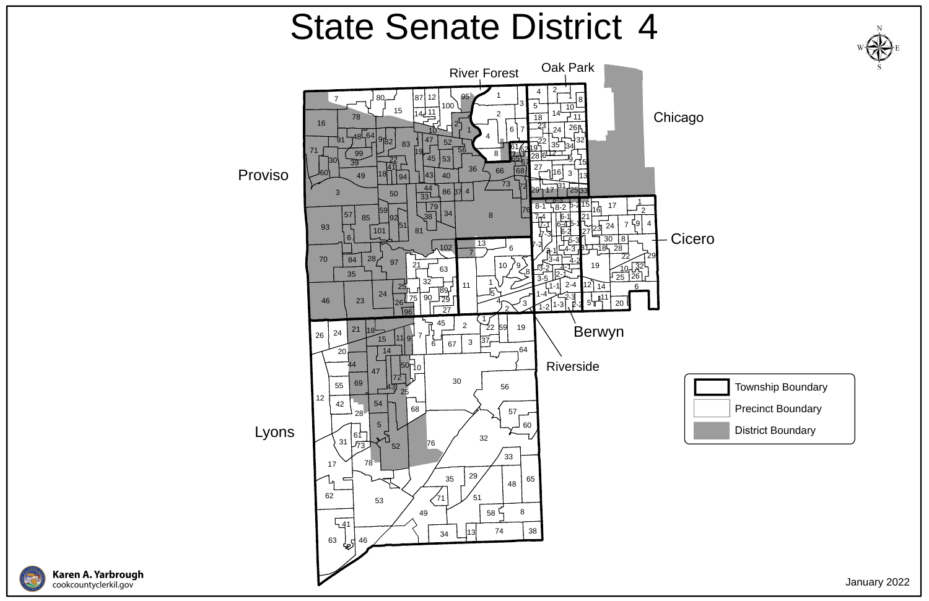Cicero





**Karen A. Yarbrough**<br>cookcountyclerkil.gov



## State Senate District 4

January 2022

Township Boundary

Precinct Boundary

District Boundary